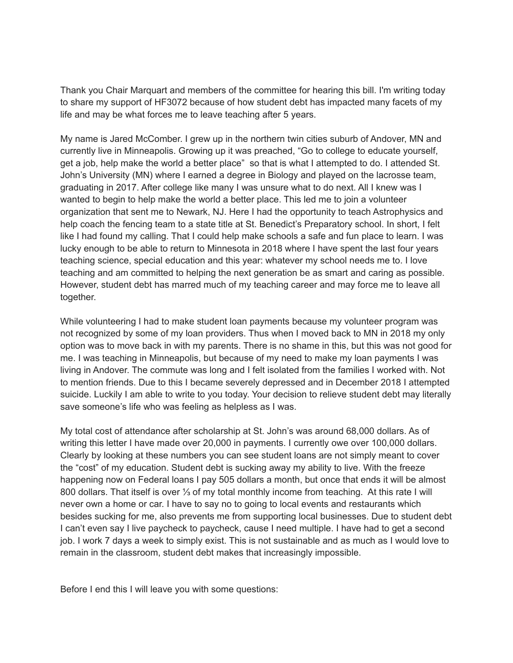Thank you Chair Marquart and members of the committee for hearing this bill. I'm writing today to share my support of HF3072 because of how student debt has impacted many facets of my life and may be what forces me to leave teaching after 5 years.

My name is Jared McComber. I grew up in the northern twin cities suburb of Andover, MN and currently live in Minneapolis. Growing up it was preached, "Go to college to educate yourself, get a job, help make the world a better place" so that is what I attempted to do. I attended St. John's University (MN) where I earned a degree in Biology and played on the lacrosse team, graduating in 2017. After college like many I was unsure what to do next. All I knew was I wanted to begin to help make the world a better place. This led me to join a volunteer organization that sent me to Newark, NJ. Here I had the opportunity to teach Astrophysics and help coach the fencing team to a state title at St. Benedict's Preparatory school. In short, I felt like I had found my calling. That I could help make schools a safe and fun place to learn. I was lucky enough to be able to return to Minnesota in 2018 where I have spent the last four years teaching science, special education and this year: whatever my school needs me to. I love teaching and am committed to helping the next generation be as smart and caring as possible. However, student debt has marred much of my teaching career and may force me to leave all together.

While volunteering I had to make student loan payments because my volunteer program was not recognized by some of my loan providers. Thus when I moved back to MN in 2018 my only option was to move back in with my parents. There is no shame in this, but this was not good for me. I was teaching in Minneapolis, but because of my need to make my loan payments I was living in Andover. The commute was long and I felt isolated from the families I worked with. Not to mention friends. Due to this I became severely depressed and in December 2018 I attempted suicide. Luckily I am able to write to you today. Your decision to relieve student debt may literally save someone's life who was feeling as helpless as I was.

My total cost of attendance after scholarship at St. John's was around 68,000 dollars. As of writing this letter I have made over 20,000 in payments. I currently owe over 100,000 dollars. Clearly by looking at these numbers you can see student loans are not simply meant to cover the "cost" of my education. Student debt is sucking away my ability to live. With the freeze happening now on Federal loans I pay 505 dollars a month, but once that ends it will be almost 800 dollars. That itself is over ⅓ of my total monthly income from teaching. At this rate I will never own a home or car. I have to say no to going to local events and restaurants which besides sucking for me, also prevents me from supporting local businesses. Due to student debt I can't even say I live paycheck to paycheck, cause I need multiple. I have had to get a second job. I work 7 days a week to simply exist. This is not sustainable and as much as I would love to remain in the classroom, student debt makes that increasingly impossible.

Before I end this I will leave you with some questions: